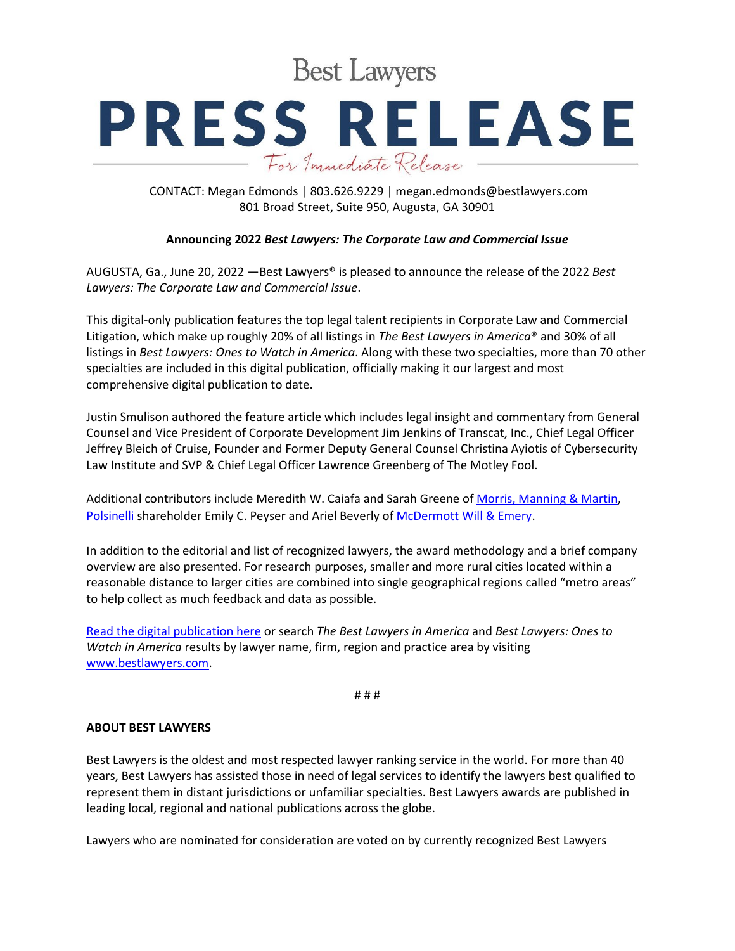**Best Lawyers** 

## **PRESS RELEASE** For Immediate Release

CONTACT: Megan Edmonds | 803.626.9229 | megan.edmonds@bestlawyers.com 801 Broad Street, Suite 950, Augusta, GA 30901

## **Announcing 2022** *Best Lawyers: The Corporate Law and Commercial Issue*

AUGUSTA, Ga., June 20, 2022 —Best Lawyers® is pleased to announce the release of the 2022 *Best Lawyers: The Corporate Law and Commercial Issue*.

This digital-only publication features the top legal talent recipients in Corporate Law and Commercial Litigation, which make up roughly 20% of all listings in *The Best Lawyers in America*® and 30% of all listings in *Best Lawyers: Ones to Watch in America*. Along with these two specialties, more than 70 other specialties are included in this digital publication, officially making it our largest and most comprehensive digital publication to date.

Justin Smulison authored the feature article which includes legal insight and commentary from General Counsel and Vice President of Corporate Development Jim Jenkins of Transcat, Inc., Chief Legal Officer Jeffrey Bleich of Cruise, Founder and Former Deputy General Counsel Christina Ayiotis of Cybersecurity Law Institute and SVP & Chief Legal Officer Lawrence Greenberg of The Motley Fool.

Additional contributors include Meredith W. Caiafa and Sarah Greene of [Morris, Manning & Martin,](https://www.bestlawyers.com/firms/morris-manning-martin-llp/33712/US) [Polsinelli](https://www.bestlawyers.com/firms/polsinelli-pc/6734/US) shareholder Emily C. Peyser and Ariel Beverly of [McDermott Will & Emery.](https://www.bestlawyers.com/firms/mcdermott-will-emery/3695/GB)

In addition to the editorial and list of recognized lawyers, the award methodology and a brief company overview are also presented. For research purposes, smaller and more rural cities located within a reasonable distance to larger cities are combined into single geographical regions called "metro areas" to help collect as much feedback and data as possible.

[Read the digital publication here](https://www.bestlawyers.com/publications/corporate-law-commercial-litigation) or search *The Best Lawyers in America* and *Best Lawyers: Ones to Watch in America* results by lawyer name, firm, region and practice area by visiting [www.bestlawyers.com.](https://www.bestlawyers.com/united-states)

# # #

## **ABOUT BEST LAWYERS**

Best Lawyers is the oldest and most respected lawyer ranking service in the world. For more than 40 years, Best Lawyers has assisted those in need of legal services to identify the lawyers best qualified to represent them in distant jurisdictions or unfamiliar specialties. Best Lawyers awards are published in leading local, regional and national publications across the globe.

Lawyers who are nominated for consideration are voted on by currently recognized Best Lawyers